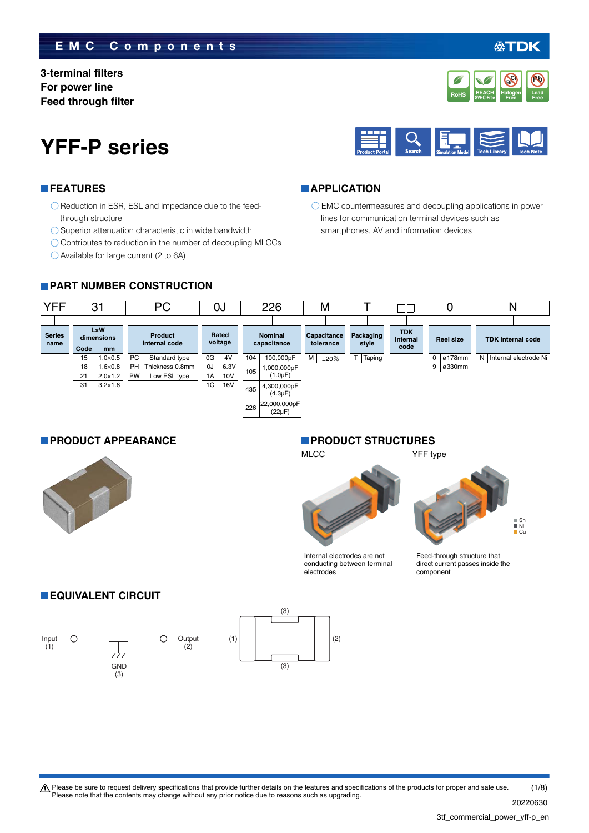### **EMC Components**

 $\bigcirc$  Reduction in ESR, ESL and impedance due to the feed-

 $\bigcirc$  Superior attenuation characteristic in wide bandwidth  $\bigcirc$  Contributes to reduction in the number of decoupling MLCCs

**3-terminal filters For power line Feed through filter**

**FEATURES**

through structure



Available for large current (2 to 6A)



#### **APPLICATION**

EMC countermeasures and decoupling applications in power lines for communication terminal devices such as smartphones, AV and information devices





#### **PRODUCT APPEARANCE PRODUCT STRUCTURES**

MLCC YFF type

Internal electrodes are not conducting between terminal electrodes

 $\blacksquare$  Sn Ni Cu

Feed-through structure that direct current passes inside the component

### **EQUIVALENT CIRCUIT**





20220630



**Free**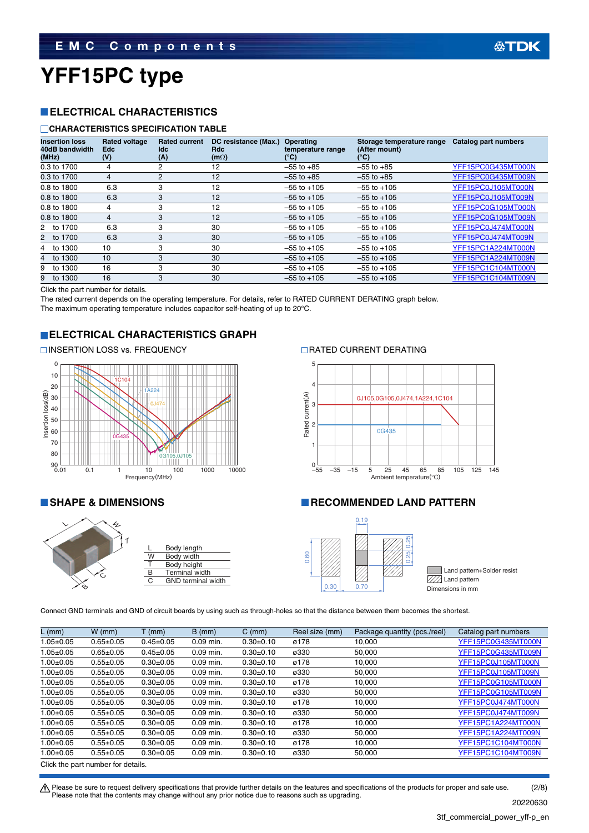## **YFF15PC type**

### **ELECTRICAL CHARACTERISTICS**

#### **CHARACTERISTICS SPECIFICATION TABLE**

| <b>Insertion loss</b><br>40dB bandwidth<br>(MHz) | <b>Rated voltage</b><br><b>Edc</b><br>(V) | <b>Rated current</b><br>ldc.<br>(A) | DC resistance (Max.)<br>Rdc<br>$(m\Omega)$ | <b>Operating</b><br>temperature range<br>(°C) | Storage temperature range<br>(After mount)<br>°C) | Catalog part numbers |
|--------------------------------------------------|-------------------------------------------|-------------------------------------|--------------------------------------------|-----------------------------------------------|---------------------------------------------------|----------------------|
| 0.3 to 1700                                      | 4                                         | 2                                   | 12                                         | $-55$ to $+85$                                | $-55$ to $+85$                                    | YFF15PC0G435MT000N   |
| 0.3 to 1700                                      | 4                                         | 2                                   | 12                                         | $-55$ to $+85$                                | $-55$ to $+85$                                    | YFF15PC0G435MT009N   |
| 0.8 to 1800                                      | 6.3                                       | 3                                   | 12                                         | $-55$ to $+105$                               | $-55$ to $+105$                                   | YFF15PC0J105MT000N   |
| 0.8 to 1800                                      | 6.3                                       | 3                                   | 12                                         | $-55$ to $+105$                               | $-55$ to $+105$                                   | YFF15PC0J105MT009N   |
| 0.8 to 1800                                      | 4                                         | 3                                   | 12                                         | $-55$ to $+105$                               | $-55$ to $+105$                                   | YFF15PC0G105MT000N   |
| 0.8 to 1800                                      | 4                                         | 3                                   | 12                                         | $-55$ to $+105$                               | $-55$ to $+105$                                   | YFF15PC0G105MT009N   |
| 1700<br>2 to                                     | 6.3                                       | 3                                   | 30                                         | $-55$ to $+105$                               | $-55$ to $+105$                                   | YFF15PC0J474MT000N   |
| 1700<br>2 to                                     | 6.3                                       | 3                                   | 30                                         | $-55$ to $+105$                               | $-55$ to $+105$                                   | YFF15PC0J474MT009N   |
| 1300<br>4 to                                     | 10                                        | 3                                   | 30                                         | $-55$ to $+105$                               | $-55$ to $+105$                                   | YFF15PC1A224MT000N   |
| 1300<br>to<br>4                                  | 10                                        | 3                                   | 30                                         | $-55$ to $+105$                               | $-55$ to $+105$                                   | YFF15PC1A224MT009N   |
| 1300<br>to                                       | 16                                        | 3                                   | 30                                         | $-55$ to $+105$                               | $-55$ to $+105$                                   | YFF15PC1C104MT000N   |
| 1300<br>9<br>to                                  | 16                                        | 3                                   | 30                                         | $-55$ to $+105$                               | $-55$ to $+105$                                   | YFF15PC1C104MT009N   |

Click the part number for details.

The rated current depends on the operating temperature. For details, refer to RATED CURRENT DERATING graph below. The maximum operating temperature includes capacitor self-heating of up to 20°C.

#### **ELECTRICAL CHARACTERISTICS GRAPH**

#### INSERTION LOSS vs. FREQUENCY RATED CURRENT DERATING







#### **SHAPE & DIMENSIONS RECOMMENDED LAND PATTERN**



Land pattern+Solder resist  $\overline{\text{VZ}}$  Land pattern

Connect GND terminals and GND of circuit boards by using such as through-holes so that the distance between them becomes the shortest.

| L (mm)          | $W$ (mm)                           | $T$ (mm)        | $B$ (mm)    | $C \, (mm)$ | Reel size (mm) | Package quantity (pcs./reel) | Catalog part numbers |  |  |  |  |
|-----------------|------------------------------------|-----------------|-------------|-------------|----------------|------------------------------|----------------------|--|--|--|--|
| $1.05 \pm 0.05$ | $0.65 \pm 0.05$                    | $0.45 \pm 0.05$ | $0.09$ min. | $0.30+0.10$ | ø178           | 10.000                       | YFF15PC0G435MT000N   |  |  |  |  |
| $1.05 \pm 0.05$ | $0.65 \pm 0.05$                    | $0.45 \pm 0.05$ | $0.09$ min. | $0.30+0.10$ | ø330           | 50.000                       | YFF15PC0G435MT009N   |  |  |  |  |
| $1.00 + 0.05$   | $0.55 \pm 0.05$                    | $0.30+0.05$     | $0.09$ min. | $0.30+0.10$ | ø178           | 10.000                       | YFF15PC0J105MT000N   |  |  |  |  |
| $1.00 + 0.05$   | $0.55 \pm 0.05$                    | $0.30+0.05$     | $0.09$ min. | $0.30+0.10$ | ø330           | 50.000                       | YFF15PC0J105MT009N   |  |  |  |  |
| $1.00 \pm 0.05$ | $0.55 \pm 0.05$                    | $0.30+0.05$     | $0.09$ min. | $0.30+0.10$ | ø178           | 10,000                       | YFF15PC0G105MT000N   |  |  |  |  |
| $1.00 + 0.05$   | $0.55 \pm 0.05$                    | $0.30+0.05$     | $0.09$ min. | $0.30+0.10$ | ø330           | 50,000                       | YFF15PC0G105MT009N   |  |  |  |  |
| $1.00 + 0.05$   | $0.55 \pm 0.05$                    | $0.30+0.05$     | $0.09$ min. | $0.30+0.10$ | ø178           | 10.000                       | YFF15PC0J474MT000N   |  |  |  |  |
| $1.00 \pm 0.05$ | $0.55 \pm 0.05$                    | $0.30 \pm 0.05$ | $0.09$ min. | $0.30+0.10$ | ø330           | 50.000                       | YFF15PC0J474MT009N   |  |  |  |  |
| $1.00 \pm 0.05$ | $0.55 \pm 0.05$                    | $0.30+0.05$     | $0.09$ min. | $0.30+0.10$ | ø178           | 10,000                       | YFF15PC1A224MT000N   |  |  |  |  |
| $1.00 \pm 0.05$ | $0.55 \pm 0.05$                    | $0.30 + 0.05$   | $0.09$ min. | $0.30+0.10$ | ø330           | 50,000                       | YFF15PC1A224MT009N   |  |  |  |  |
| $1.00 + 0.05$   | $0.55 \pm 0.05$                    | $0.30+0.05$     | $0.09$ min. | $0.30+0.10$ | ø178           | 10.000                       | YFF15PC1C104MT000N   |  |  |  |  |
| $1.00 \pm 0.05$ | $0.55 \pm 0.05$                    | $0.30+0.05$     | 0.09 min.   | $0.30+0.10$ | ø330           | 50,000                       | YFF15PC1C104MT009N   |  |  |  |  |
|                 | Click the part number for details. |                 |             |             |                |                              |                      |  |  |  |  |

 $\bigwedge$  Please be sure to request delivery specifications that provide further details on the features and specifications of the products for proper and safe use. Please note that the contents may change without any prior notice due to reasons such as upgrading. (2/8)

20220630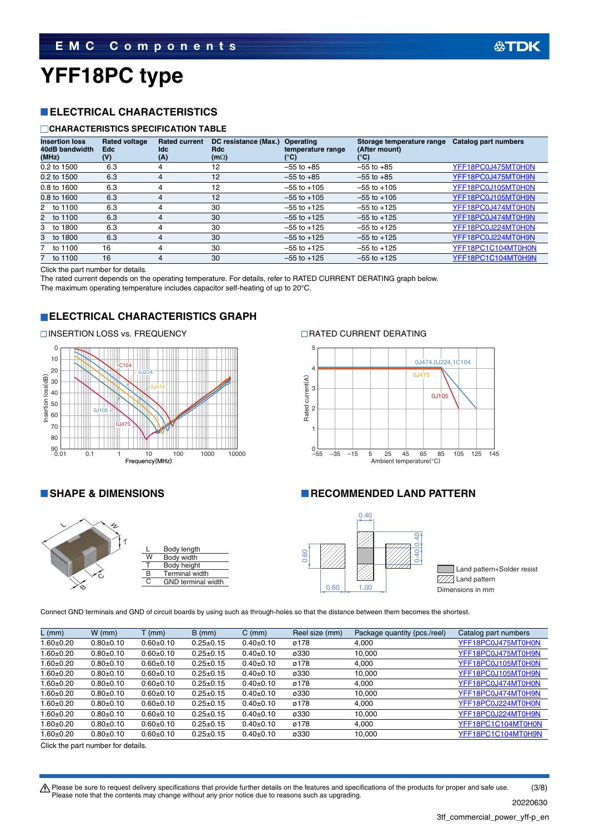## **YFF18PC type**

### **ELECTRICAL CHARACTERISTICS**

#### **CHARACTERISTICS SPECIFICATION TABLE**

| <b>Insertion loss</b><br>40dB bandwidth<br>(MHz) | <b>Rated voltage</b><br><b>Edc</b><br>(V) | <b>Rated current</b><br>Idc<br>(A) | DC resistance (Max.)<br>Rdc<br>$(m\Omega)$ | Operating<br>temperature range<br>(°C) | Storage temperature range<br>(After mount)<br>°C) | Catalog part numbers |
|--------------------------------------------------|-------------------------------------------|------------------------------------|--------------------------------------------|----------------------------------------|---------------------------------------------------|----------------------|
| 0.2 to 1500                                      | 6.3                                       |                                    | 12                                         | $-55$ to $+85$                         | $-55$ to $+85$                                    | YFF18PC0J475MT0H0N   |
| 0.2 to 1500                                      | 6.3                                       | 4                                  | 12                                         | $-55$ to $+85$                         | $-55$ to $+85$                                    | YFF18PC0J475MT0H9N   |
| 0.8 to 1600                                      | 6.3                                       | 4                                  | 12                                         | $-55$ to $+105$                        | $-55$ to $+105$                                   | YFF18PC0J105MT0H0N   |
| 0.8 to 1600                                      | 6.3                                       | 4                                  | 12                                         | $-55$ to $+105$                        | $-55$ to $+105$                                   | YFF18PC0J105MT0H9N   |
| 2 to 1100                                        | 6.3                                       | 4                                  | 30                                         | $-55$ to $+125$                        | $-55$ to $+125$                                   | YFF18PC0J474MT0H0N   |
| 2 to 1100                                        | 6.3                                       | 4                                  | 30                                         | $-55$ to $+125$                        | $-55$ to $+125$                                   | YFF18PC0J474MT0H9N   |
| 3 to 1800                                        | 6.3                                       | 4                                  | 30                                         | $-55$ to $+125$                        | $-55$ to $+125$                                   | YFF18PC0J224MT0H0N   |
| 1800<br>3 to                                     | 6.3                                       | 4                                  | 30                                         | $-55$ to $+125$                        | $-55$ to $+125$                                   | YFF18PC0J224MT0H9N   |
| 7 to 1100                                        | 16                                        | 4                                  | 30                                         | $-55$ to $+125$                        | $-55$ to $+125$                                   | YFF18PC1C104MT0H0N   |
| 7 to 1100                                        | 16                                        | 4                                  | 30                                         | $-55$ to $+125$                        | $-55$ to $+125$                                   | YFF18PC1C104MT0H9N   |

Click the part number for details.

The rated current depends on the operating temperature. For details, refer to RATED CURRENT DERATING graph below.

The maximum operating temperature includes capacitor self-heating of up to 20°C.

### **ELECTRICAL CHARACTERISTICS GRAPH**



#### INSERTION LOSS vs. FREQUENCY RATED CURRENT DERATING



### **RECOMMENDED LAND PATTERN**





Land pattern+Solder resist  $\mathbb{Z}/\mathbb{Z}$  Land pattern

Connect GND terminals and GND of circuit boards by using such as through-holes so that the distance between them becomes the shortest.

| $L$ (mm)        | $W$ (mm)        | $T$ (mm)        | $B$ (mm)        | $C \, (mm)$     | Reel size (mm) | Package quantity (pcs./reel) | Catalog part numbers |
|-----------------|-----------------|-----------------|-----------------|-----------------|----------------|------------------------------|----------------------|
| $1.60 \pm 0.20$ | $0.80 \pm 0.10$ | $0.60 \pm 0.10$ | $0.25 \pm 0.15$ | $0.40 \pm 0.10$ | ø178           | 4.000                        | YFF18PC0J475MT0H0N   |
| 1.60±0.20       | $0.80 + 0.10$   | $0.60 + 0.10$   | $0.25 \pm 0.15$ | $0.40 \pm 0.10$ | ø330           | 10,000                       | YFF18PC0J475MT0H9N   |
| $1.60 + 0.20$   | $0.80+0.10$     | $0.60 + 0.10$   | $0.25 \pm 0.15$ | $0.40 \pm 0.10$ | ø178           | 4.000                        | YFF18PC0J105MT0H0N   |
| 1.60±0.20       | $0.80+0.10$     | $0.60 + 0.10$   | $0.25 \pm 0.15$ | $0.40 \pm 0.10$ | ø330           | 10,000                       | YFF18PC0J105MT0H9N   |
| .60±0.20        | $0.80 + 0.10$   | $0.60 \pm 0.10$ | $0.25 \pm 0.15$ | $0.40 \pm 0.10$ | ø178           | 4.000                        | YFF18PC0J474MT0H0N   |
| $.60 \pm 0.20$  | $0.80 + 0.10$   | $0.60 + 0.10$   | $0.25 \pm 0.15$ | $0.40 \pm 0.10$ | ø330           | 10,000                       | YFF18PC0J474MT0H9N   |
| $1.60 + 0.20$   | $0.80 \pm 0.10$ | $0.60 + 0.10$   | $0.25 \pm 0.15$ | $0.40 \pm 0.10$ | ø178           | 4.000                        | YFF18PC0J224MT0H0N   |
| $1.60 + 0.20$   | $0.80+0.10$     | $0.60 + 0.10$   | $0.25 \pm 0.15$ | $0.40 \pm 0.10$ | ø330           | 10,000                       | YFF18PC0J224MT0H9N   |
| $1.60 + 0.20$   | $0.80 \pm 0.10$ | $0.60 + 0.10$   | $0.25 \pm 0.15$ | $0.40 \pm 0.10$ | ø178           | 4.000                        | YFF18PC1C104MT0H0N   |
| i.60±0.20       | $0.80 + 0.10$   | $0.60 + 0.10$   | $0.25 \pm 0.15$ | $0.40 \pm 0.10$ | ø330           | 10.000                       | YFF18PC1C104MT0H9N   |

Click the part number for details.

**公TDK** 

Please be sure to request delivery specifications that provide further details on the features and specifications of the products for proper and safe use.<br>Please note that the contents may change without any prior notice d (3/8)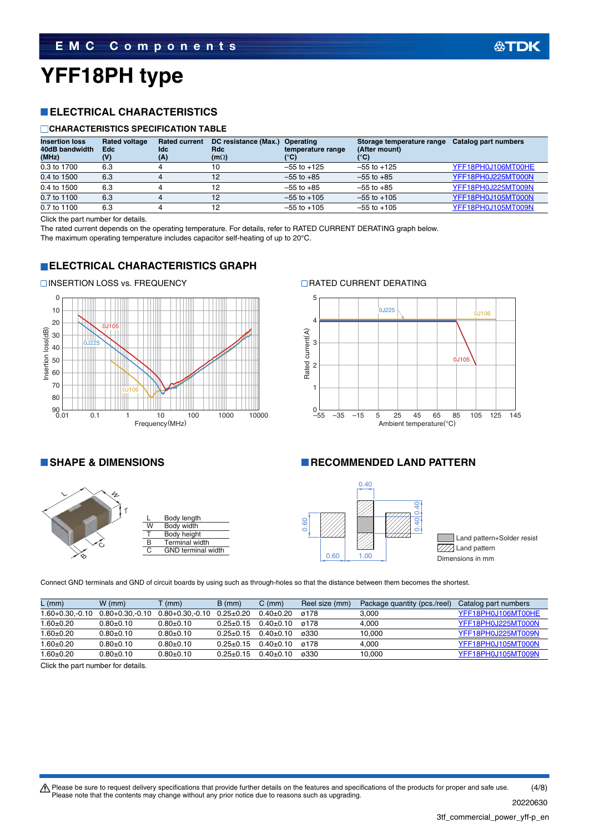# **YFF18PH type**

### **ELECTRICAL CHARACTERISTICS**

#### **CHARACTERISTICS SPECIFICATION TABLE**

| <b>Insertion loss</b><br>40dB bandwidth<br>(MHz) | <b>Rated voltage</b><br><b>Edc</b><br>(V) | <b>Rated current</b><br>ldc<br>(A) | DC resistance (Max.)<br>Rdc<br>$(m\Omega)$ | Operating<br>temperature range<br>(°C) | Storage temperature range<br>(After mount)<br>°C) | Catalog part numbers |
|--------------------------------------------------|-------------------------------------------|------------------------------------|--------------------------------------------|----------------------------------------|---------------------------------------------------|----------------------|
| 0.3 to 1700                                      | 6.3                                       |                                    | 10                                         | $-55$ to $+125$                        | $-55$ to $+125$                                   | YFF18PH0J106MT00HE   |
| 0.4 to 1500                                      | 6.3                                       |                                    | 12                                         | $-55$ to $+85$                         | $-55$ to $+85$                                    | YFF18PH0J225MT000N   |
| 0.4 to 1500                                      | 6.3                                       |                                    | 12                                         | $-55$ to $+85$                         | $-55$ to $+85$                                    | YFF18PH0J225MT009N   |
| 0.7 to 1100                                      | 6.3                                       |                                    | 12                                         | $-55$ to $+105$                        | $-55$ to $+105$                                   | YFF18PH0J105MT000N   |
| 0.7 to 1100                                      | 6.3                                       |                                    | 12                                         | $-55$ to $+105$                        | $-55$ to $+105$                                   | YFF18PH0J105MT009N   |

Click the part number for details.

The rated current depends on the operating temperature. For details, refer to RATED CURRENT DERATING graph below. The maximum operating temperature includes capacitor self-heating of up to 20°C.

#### **ELECTRICAL CHARACTERISTICS GRAPH**





#### **RECOMMENDED LAND PATTERN**





Land pattern+Solder resist  $\overline{\mathbb{Z}/\mathbb{Z}}$  Land pattern 0.60 1.00 Dimensions in mm

**公TDK** 

Connect GND terminals and GND of circuit boards by using such as through-holes so that the distance between them becomes the shortest.

| $L$ (mm)                     | $W$ (mm)             | $\dot{m}$            | $B \, (mm)$     | $C \, (mm)$   | Reel size (mm) | Package quantity (pcs./reel) | Catalog part numbers |
|------------------------------|----------------------|----------------------|-----------------|---------------|----------------|------------------------------|----------------------|
| l.60+0.30.-0.10              | $0.80 + 0.30 - 0.10$ | $0.80 + 0.30 - 0.10$ | $0.25{\pm}0.20$ | $0.40+0.20$   | ø178           | 3.000                        | YFF18PH0J106MT00HE   |
| $0.60{\scriptstyle \pm0.20}$ | $0.80 + 0.10$        | $0.80+0.10$          | $0.25 + 0.15$   | $0.40+0.10$   | ø178           | 4.000                        | YFF18PH0J225MT000N   |
| $.60 \pm 0.20$               | $0.80 + 0.10$        | $0.80 + 0.10$        | $0.25 + 0.15$   | $0.40+0.10$   | ø330           | 10.000                       | YFF18PH0J225MT009N   |
| $0.60{\scriptstyle \pm0.20}$ | $0.80 + 0.10$        | $0.80 + 0.10$        | $0.25 + 0.15$   | $0.40 + 0.10$ | ø178           | 4.000                        | YFF18PH0J105MT000N   |
| $0.60 \pm 0.20$              | $0.80 + 0.10$        | $0.80+0.10$          | $0.25 + 0.15$   | $0.40 + 0.10$ | ø330           | 10.000                       | YFF18PH0J105MT009N   |

Click the part number for details.

t Please be sure to request delivery specifications that provide further details on the features and specifications of the products for proper and safe use. Please note that the contents may change without any prior notice due to reasons such as upgrading. (4/8)

20220630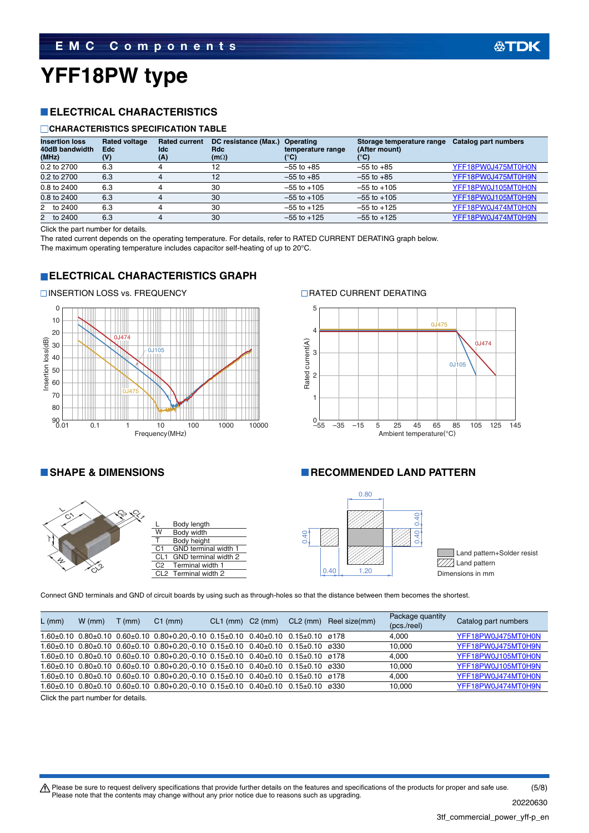# **YFF18PW type**

### **ELECTRICAL CHARACTERISTICS**

#### **CHARACTERISTICS SPECIFICATION TABLE**

| <b>Insertion loss</b><br>40dB bandwidth<br>(MHz) | <b>Rated voltage</b><br><b>Edc</b><br>(V) | <b>Rated current</b><br><b>Idc</b><br>(A) | DC resistance (Max.)<br>Rdc<br>$(m\Omega)$ | Operating<br>temperature range<br>$^{\prime\circ}$ C) | Storage temperature range<br>(After mount)<br>°C) | Catalog part numbers |
|--------------------------------------------------|-------------------------------------------|-------------------------------------------|--------------------------------------------|-------------------------------------------------------|---------------------------------------------------|----------------------|
| 0.2 to 2700                                      | 6.3                                       |                                           | 12                                         | $-55$ to $+85$                                        | $-55$ to $+85$                                    | YFF18PW0J475MT0H0N   |
| 0.2 to 2700                                      | 6.3                                       |                                           | 12                                         | $-55$ to $+85$                                        | $-55$ to $+85$                                    | YFF18PW0J475MT0H9N   |
| 0.8 to 2400                                      | 6.3                                       |                                           | 30                                         | $-55$ to $+105$                                       | $-55$ to $+105$                                   | YFF18PW0J105MT0H0N   |
| 0.8 to 2400                                      | 6.3                                       | 4                                         | 30                                         | $-55$ to $+105$                                       | $-55$ to $+105$                                   | YFF18PW0J105MT0H9N   |
| 2 to 2400                                        | 6.3                                       |                                           | 30                                         | $-55$ to $+125$                                       | $-55$ to $+125$                                   | YFF18PW0J474MT0H0N   |
| 2 to 2400                                        | 6.3                                       |                                           | 30                                         | $-55$ to $+125$                                       | $-55$ to $+125$                                   | YFF18PW0J474MT0H9N   |

Click the part number for details.

The rated current depends on the operating temperature. For details, refer to RATED CURRENT DERATING graph below.

The maximum operating temperature includes capacitor self-heating of up to 20°C.

### **ELECTRICAL CHARACTERISTICS GRAPH**



#### INSERTION LOSS vs. FREQUENCY RATED CURRENT DERATING





#### **SHAPE & DIMENSIONS RECOMMENDED LAND PATTERN**



Connect GND terminals and GND of circuit boards by using such as through-holes so that the distance between them becomes the shortest.

| $L$ (mm) | $W$ (mm) | $T$ (mm) | $C1$ (mm)                                                                                                      | $CL1$ (mm) |  | C2 (mm) CL2 (mm) Reel size(mm) | Package quantity<br>(pcs./ree) | Catalog part numbers |
|----------|----------|----------|----------------------------------------------------------------------------------------------------------------|------------|--|--------------------------------|--------------------------------|----------------------|
|          |          |          | $1.60\pm0.10$ $0.80\pm0.10$ $0.60\pm0.10$ $0.80+0.20$ , 0.10 $0.15\pm0.10$ $0.40\pm0.10$ $0.15\pm0.10$ $0.178$ |            |  |                                | 4.000                          | YFF18PW0J475MT0H0N   |
|          |          |          | $1.60\pm0.10$ $0.80\pm0.10$ $0.60\pm0.10$ $0.80+0.20$ , 0.10 $0.15\pm0.10$ $0.40\pm0.10$ $0.15\pm0.10$ $0.330$ |            |  |                                | 10.000                         | YFF18PW0J475MT0H9N   |
|          |          |          | $1.60\pm0.10$ $0.80\pm0.10$ $0.60\pm0.10$ $0.80+0.20, -0.10$ $0.15\pm0.10$ $0.40\pm0.10$ $0.15\pm0.10$ $0.78$  |            |  |                                | 4.000                          | YFF18PW0J105MT0H0N   |
|          |          |          | $1.60\pm0.10$ $0.80\pm0.10$ $0.60\pm0.10$ $0.80+0.20$ . 0.10 $0.15\pm0.10$ $0.40\pm0.10$ $0.15\pm0.10$ $0.330$ |            |  |                                | 10.000                         | YFF18PW0J105MT0H9N   |
|          |          |          | $1.60\pm0.10$ $0.80\pm0.10$ $0.60\pm0.10$ $0.80+0.20$ .-0.10 $0.15\pm0.10$ $0.40\pm0.10$ $0.15\pm0.10$ $0.78$  |            |  |                                | 4.000                          | YFF18PW0J474MT0H0N   |
|          |          |          | $1.60\pm0.10$ $0.80\pm0.10$ $0.60\pm0.10$ $0.80+0.20$ .-0.10 $0.15\pm0.10$ $0.40\pm0.10$ $0.15\pm0.10$ $0.330$ |            |  |                                | 10.000                         | YFF18PW0J474MT0H9N   |

Click the part number for details.

t Please be sure to request delivery specifications that provide further details on the features and specifications of the products for proper and safe use. Please note that the contents may change without any prior notice due to reasons such as upgrading. 20220630 (5/8)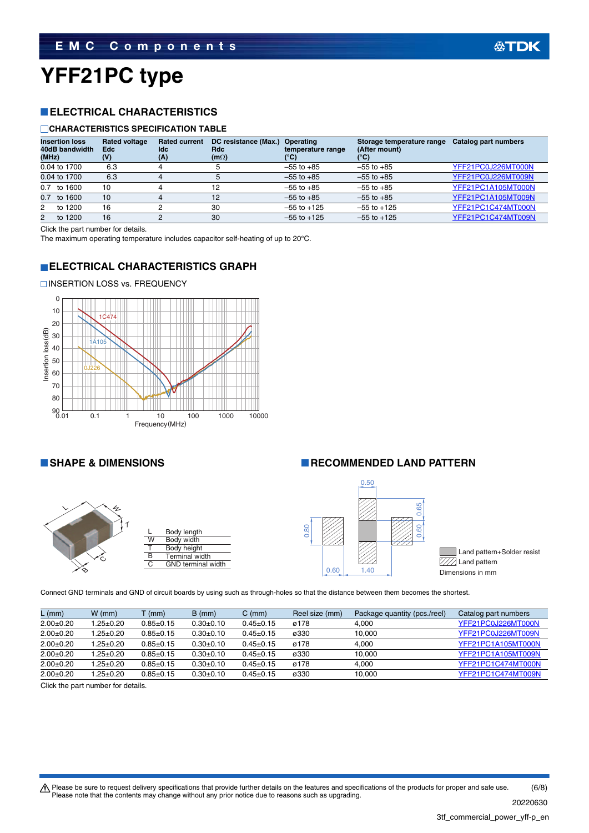# **YFF21PC type**

### **ELECTRICAL CHARACTERISTICS**

#### **CHARACTERISTICS SPECIFICATION TABLE**

| <b>Insertion loss</b><br>40dB bandwidth<br>(MHz) | <b>Rated voltage</b><br><b>Edc</b><br>(V) | <b>Rated current</b><br>ldc.<br>(A) | DC resistance (Max.)<br>Rdc<br>$(m\Omega)$ | Operating<br>temperature range<br>(°C) | Storage temperature range<br>(After mount)<br>$\mathbf{C}$ | Catalog part numbers |
|--------------------------------------------------|-------------------------------------------|-------------------------------------|--------------------------------------------|----------------------------------------|------------------------------------------------------------|----------------------|
| 0.04 to 1700                                     | 6.3                                       |                                     |                                            | $-55$ to $+85$                         | $-55$ to $+85$                                             | YFF21PC0J226MT000N   |
| 0.04 to 1700                                     | 6.3                                       |                                     |                                            | $-55$ to $+85$                         | $-55$ to $+85$                                             | YFF21PC0J226MT009N   |
| $0.7$ to 1600                                    | 10                                        |                                     | 12                                         | $-55$ to $+85$                         | $-55$ to $+85$                                             | YFF21PC1A105MT000N   |
| 0.7 to 1600                                      | 10                                        |                                     | 12                                         | $-55$ to $+85$                         | $-55$ to $+85$                                             | YFF21PC1A105MT009N   |
| to 1200<br>$2^{\circ}$                           | 16                                        |                                     | 30                                         | $-55$ to $+125$                        | $-55$ to $+125$                                            | YFF21PC1C474MT000N   |
| to 1200<br>$^{2}$                                | 16                                        |                                     | 30                                         | $-55$ to $+125$                        | $-55$ to $+125$                                            | YFF21PC1C474MT009N   |

Click the part number for details.

The maximum operating temperature includes capacitor self-heating of up to 20°C.

#### **ELECTRICAL CHARACTERISTICS GRAPH**







#### **SHAPE & DIMENSIONS RECOMMENDED LAND PATTERN**



Land pattern+Solder resist  $\sqrt{Z/2}$  Land pattern

Connect GND terminals and GND of circuit boards by using such as through-holes so that the distance between them becomes the shortest.

| $L$ (mm)    | $W$ (mm)        | $T$ (mm)    | $B \, (mm)$ | $C \, (mm)$     | Reel size (mm) | Package quantity (pcs./reel) | Catalog part numbers |
|-------------|-----------------|-------------|-------------|-----------------|----------------|------------------------------|----------------------|
| $2.00+0.20$ | $1.25 \pm 0.20$ | $0.85+0.15$ | $0.30+0.10$ | $0.45 \pm 0.15$ | ø178           | 4.000                        | YFF21PC0J226MT000N   |
| $2.00+0.20$ | 1.25±0.20       | $0.85+0.15$ | $0.30+0.10$ | $0.45+0.15$     | ø330           | 10.000                       | YFF21PC0J226MT009N   |
| $2.00+0.20$ | $1.25 \pm 0.20$ | $0.85+0.15$ | $0.30+0.10$ | $0.45+0.15$     | ø178           | 4.000                        | YFF21PC1A105MT000N   |
| $2.00+0.20$ | $1.25 \pm 0.20$ | $0.85+0.15$ | $0.30+0.10$ | $0.45+0.15$     | ø330           | 10.000                       | YFF21PC1A105MT009N   |
| $2.00+0.20$ | l.25±0.20       | $0.85+0.15$ | $0.30+0.10$ | $0.45+0.15$     | ø178           | 4.000                        | YFF21PC1C474MT000N   |
| $2.00+0.20$ | l.25±0.20       | $0.85+0.15$ | $0.30+0.10$ | $0.45+0.15$     | ø330           | 10.000                       | YFF21PC1C474MT009N   |

Click the part number for details.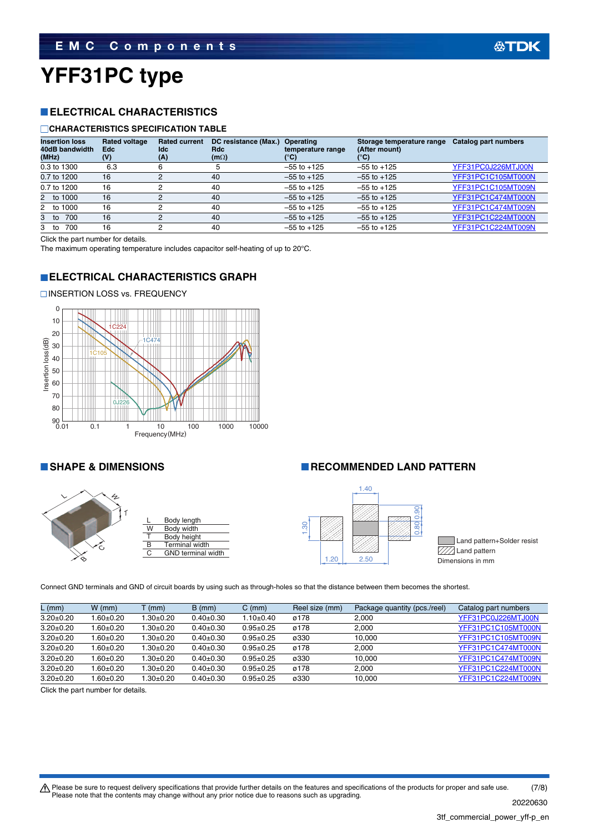# **YFF31PC type**

### **ELECTRICAL CHARACTERISTICS**

#### **CHARACTERISTICS SPECIFICATION TABLE**

| <b>Insertion loss</b><br>40dB bandwidth<br>(MHz) | <b>Rated voltage</b><br><b>Edc</b><br>(V) | <b>Rated current</b><br>ldc<br>(A) | DC resistance (Max.)<br><b>Rdc</b><br>$(m\Omega)$ | Operating<br>temperature range<br>$(^\circ \text{C})$ | Storage temperature range<br>(After mount)<br>°C) | Catalog part numbers |
|--------------------------------------------------|-------------------------------------------|------------------------------------|---------------------------------------------------|-------------------------------------------------------|---------------------------------------------------|----------------------|
| 0.3 to 1300                                      | 6.3                                       |                                    |                                                   | $-55$ to $+125$                                       | $-55$ to $+125$                                   | YFF31PC0J226MTJ00N   |
| 0.7 to 1200                                      | 16                                        |                                    | 40                                                | $-55$ to $+125$                                       | $-55$ to $+125$                                   | YFF31PC1C105MT000N   |
| 0.7 to 1200                                      | 16                                        | ∩                                  | 40                                                | $-55$ to $+125$                                       | $-55$ to $+125$                                   | YFF31PC1C105MT009N   |
| 2 to 1000                                        | 16                                        | っ                                  | 40                                                | $-55$ to $+125$                                       | $-55$ to $+125$                                   | YFF31PC1C474MT000N   |
| 2 to 1000                                        | 16                                        |                                    | 40                                                | $-55$ to $+125$                                       | $-55$ to $+125$                                   | YFF31PC1C474MT009N   |
| 700<br>3 to                                      | 16                                        |                                    | 40                                                | $-55$ to $+125$                                       | $-55$ to $+125$                                   | YFF31PC1C224MT000N   |
| 700<br>3 to                                      | 16                                        |                                    | 40                                                | $-55$ to $+125$                                       | $-55$ to $+125$                                   | YFF31PC1C224MT009N   |

Click the part number for details.

**□INSERTION LOSS vs. FREQUENCY** 

The maximum operating temperature includes capacitor self-heating of up to 20°C.

### **ELECTRICAL CHARACTERISTICS GRAPH**





#### Body length Body width Body height Terminal width **GND** terminal width

#### **SHAPE & DIMENSIONS RECOMMENDED LAND PATTERN**



Land pattern+Solder resist **V//** Land pattern

Connect GND terminals and GND of circuit boards by using such as through-holes so that the distance between them becomes the shortest.

| $L$ (mm)        | $W$ (mm)      | T (mm)         | $B \, (mm)$     | $C \, (mm)$   | Reel size (mm) | Package quantity (pcs./reel) | Catalog part numbers |
|-----------------|---------------|----------------|-----------------|---------------|----------------|------------------------------|----------------------|
| $3.20 \pm 0.20$ | 1.60±0.20     | $.30{\pm}0.20$ | $0.40 \pm 0.30$ | $1.10 + 0.40$ | ø178           | 2.000                        | YFF31PC0J226MTJ00N   |
| $3.20 \pm 0.20$ | 1.60±0.20     | $.30+0.20$     | $0.40+0.30$     | $0.95 + 0.25$ | ø178           | 2.000                        | YFF31PC1C105MT000N   |
| $3.20 \pm 0.20$ | 1.60±0.20     | $.30{\pm}0.20$ | $0.40+0.30$     | $0.95 + 0.25$ | ø330           | 10.000                       | YFF31PC1C105MT009N   |
| $3.20 \pm 0.20$ | 1.60±0.20     | $1.30 + 0.20$  | $0.40+0.30$     | $0.95 + 0.25$ | ø178           | 2.000                        | YFF31PC1C474MT000N   |
| $3.20 \pm 0.20$ | $1.60 + 0.20$ | 1.30±0.20      | $0.40+0.30$     | $0.95 + 0.25$ | ø330           | 10.000                       | YFF31PC1C474MT009N   |
| $3.20 \pm 0.20$ | $0.60 + 0.20$ | $.30+0.20$     | $0.40+0.30$     | $0.95 + 0.25$ | ø178           | 2.000                        | YFF31PC1C224MT000N   |
| $3.20 \pm 0.20$ | $0.60 + 0.20$ | $.30+0.20$     | $0.40+0.30$     | $0.95 + 0.25$ | ø330           | 10.000                       | YFF31PC1C224MT009N   |

Click the part number for details.

Please be sure to request delivery specifications that provide further details on the features and specifications of the products for proper and safe use.<br>Please note that the contents may change without any prior notice d 20220630 (7/8)